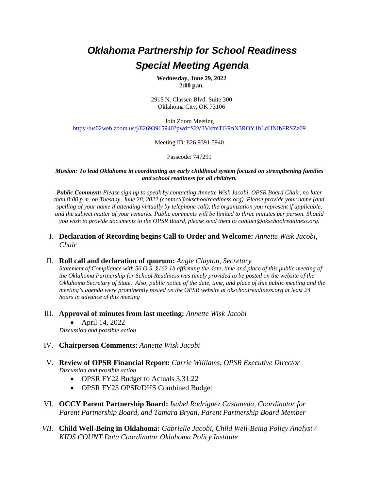# *Oklahoma Partnership for School Readiness Special Meeting Agenda*

**Wednesday, June 29, 2022 2:00 p.m.**

2915 N. Classen Blvd. Suite 300 Oklahoma City, OK 73106

Join Zoom Meeting <https://us02web.zoom.us/j/82693915940?pwd=S2V3VktmTGRnN3ROY1hLdHNIbFRSZz09>

Meeting ID: 826 9391 5940

Passcode: 747291

#### *Mission: To lead Oklahoma in coordinating an early childhood system focused on strengthening families and school readiness for all children.*

*Public Comment: Please sign up to speak by contacting Annette Wisk Jacobi, OPSR Board Chair, no later than 8:00 p.m. on Tuesday, June 28, 2022 (contact@okschoolreadiness.org). Please provide your name (and spelling of your name if attending virtually by telephone call), the organization you represent if applicable, and the subject matter of your remarks. Public comments will be limited to three minutes per person. Should you wish to provide documents to the OPSR Board, please send them to contact@okschoolreadiness.org.* 

### I. **Declaration of Recording begins Call to Order and Welcome:** *Annette Wisk Jacobi, Chair*

#### II. **Roll call and declaration of quorum:** *Angie Clayton, Secretary*

*Statement of Compliance with 56 O.S. §162.1b affirming the date, time and place of this public meeting of the Oklahoma Partnership for School Readiness was timely provided to be posted on the website of the Oklahoma Secretary of State. Also, public notice of the date, time, and place of this public meeting and the meeting's agenda were prominently posted on the OPSR website at okschoolreadiness.org at least 24 hours in advance of this meeting*

#### III. **Approval of minutes from last meeting:** *Annette Wisk Jacobi*

• April 14, 2022 *Discussion and possible action*

#### IV. **Chairperson Comments:** *Annette Wisk Jacobi*

- V. **Review of OPSR Financial Report:** *Carrie Williams, OPSR Executive Director Discussion and possible action*
	- OPSR FY22 Budget to Actuals 3.31.22
	- OPSR FY23 OPSR/DHS Combined Budget
- VI. **OCCY Parent Partnership Board:** *Isabel Rodriguez Castaneda, Coordinator for Parent Partnership Board, and Tamara Bryan, Parent Partnership Board Member*
- *VII.* **Child Well-Being in Oklahoma:** *Gabrielle Jacobi, Child Well-Being Policy Analyst / KIDS COUNT Data Coordinator Oklahoma Policy Institute*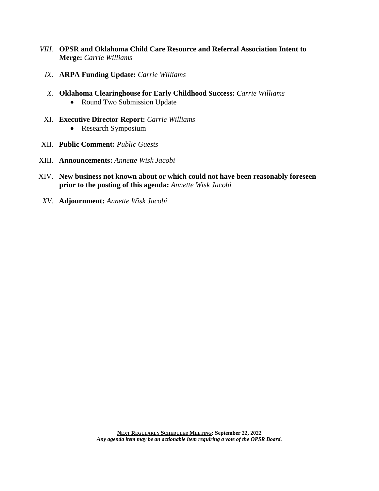- *VIII.* **OPSR and Oklahoma Child Care Resource and Referral Association Intent to Merge:** *Carrie Williams*
	- *IX.* **ARPA Funding Update:** *Carrie Williams*
	- *X.* **Oklahoma Clearinghouse for Early Childhood Success:** *Carrie Williams* • Round Two Submission Update
- XI. **Executive Director Report:** *Carrie Williams* • Research Symposium
- XII. **Public Comment:** *Public Guests*
- XIII. **Announcements:** *Annette Wisk Jacobi*
- XIV. **New business not known about or which could not have been reasonably foreseen prior to the posting of this agenda:** *Annette Wisk Jacobi*
- *XV.* **Adjournment:** *Annette Wisk Jacobi*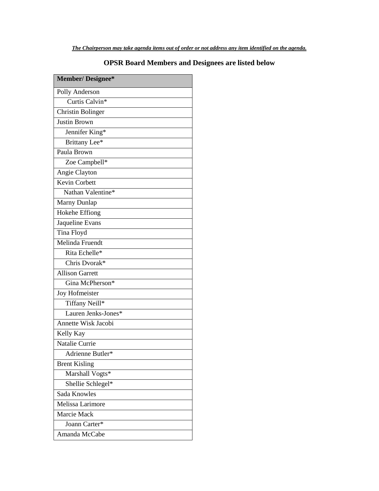## **OPSR Board Members and Designees are listed below**

| <b>Member/Designee*</b>  |
|--------------------------|
| Polly Anderson           |
| Curtis Calvin*           |
| <b>Christin Bolinger</b> |
| <b>Justin Brown</b>      |
| Jennifer King*           |
| Brittany Lee*            |
| Paula Brown              |
| Zoe Campbell*            |
| Angie Clayton            |
| <b>Kevin Corbett</b>     |
| Nathan Valentine*        |
| Marny Dunlap             |
| Hokehe Effiong           |
| Jaqueline Evans          |
| Tina Floyd               |
| Melinda Fruendt          |
| Rita Echelle*            |
| Chris Dvorak*            |
| <b>Allison Garrett</b>   |
| Gina McPherson*          |
| Joy Hofmeister           |
| Tiffany Neill*           |
| Lauren Jenks-Jones*      |
| Annette Wisk Jacobi      |
| Kelly Kay                |
| Natalie Currie           |
| Adrienne Butler*         |
| <b>Brent Kisling</b>     |
| Marshall Vogts*          |
| Shellie Schlegel*        |
| Sada Knowles             |
| Melissa Larimore         |
| Marcie Mack              |
| Joann Carter*            |
| Amanda McCabe            |